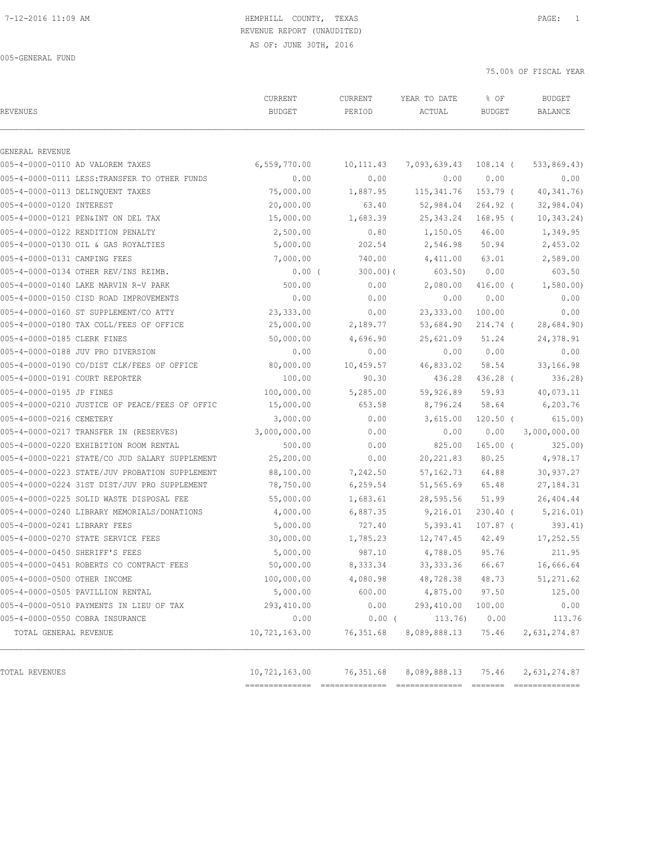# REVENUE REPORT (UNAUDITED)

75.00% OF FISCAL YEAR

| <b>REVENUES</b>                |                                                | CURRENT<br><b>BUDGET</b> | CURRENT<br>PERIOD | YEAR TO DATE<br>ACTUAL | % OF<br><b>BUDGET</b> | <b>BUDGET</b><br><b>BALANCE</b> |
|--------------------------------|------------------------------------------------|--------------------------|-------------------|------------------------|-----------------------|---------------------------------|
| GENERAL REVENUE                |                                                |                          |                   |                        |                       |                                 |
|                                | 005-4-0000-0110 AD VALOREM TAXES               | 6,559,770.00             | 10,111.43         | 7,093,639.43 108.14 (  |                       | 533,869.43)                     |
|                                | 005-4-0000-0111 LESS: TRANSFER TO OTHER FUNDS  | 0.00                     | 0.00              | 0.00                   | 0.00                  | 0.00                            |
|                                | 005-4-0000-0113 DELINQUENT TAXES               | 75,000.00                | 1,887.95          | 115,341.76             | 153.79 (              | 40, 341.76)                     |
| 005-4-0000-0120 INTEREST       |                                                | 20,000.00                | 63.40             | 52,984.04              | $264.92$ (            | 32, 984.04)                     |
|                                | 005-4-0000-0121 PEN&INT ON DEL TAX             | 15,000.00                | 1,683.39          | 25,343.24              | $168.95$ (            | 10, 343.24)                     |
|                                | 005-4-0000-0122 RENDITION PENALTY              | 2,500.00                 | 0.80              | 1,150.05               | 46.00                 | 1,349.95                        |
|                                | 005-4-0000-0130 OIL & GAS ROYALTIES            | 5,000.00                 | 202.54            | 2,546.98               | 50.94                 | 2,453.02                        |
| 005-4-0000-0131 CAMPING FEES   |                                                | 7,000.00                 | 740.00            | 4,411.00               | 63.01                 | 2,589.00                        |
|                                | 005-4-0000-0134 OTHER REV/INS REIMB.           | $0.00$ (                 | $300.00)$ (       | 603.50)                | 0.00                  | 603.50                          |
|                                | 005-4-0000-0140 LAKE MARVIN R-V PARK           | 500.00                   | 0.00              | 2,080.00               | $416.00$ (            | 1,580.00                        |
|                                | 005-4-0000-0150 CISD ROAD IMPROVEMENTS         | 0.00                     | 0.00              | 0.00                   | 0.00                  | 0.00                            |
|                                | 005-4-0000-0160 ST SUPPLEMENT/CO ATTY          | 23,333.00                | 0.00              | 23, 333.00             | 100.00                | 0.00                            |
|                                | 005-4-0000-0180 TAX COLL/FEES OF OFFICE        | 25,000.00                | 2,189.77          | 53,684.90              | 214.74 (              | 28,684.90)                      |
| 005-4-0000-0185 CLERK FINES    |                                                | 50,000.00                | 4,696.90          | 25,621.09              | 51.24                 | 24,378.91                       |
|                                | 005-4-0000-0188 JUV PRO DIVERSION              | 0.00                     | 0.00              | 0.00                   | 0.00                  | 0.00                            |
|                                | 005-4-0000-0190 CO/DIST CLK/FEES OF OFFICE     | 80,000.00                | 10,459.57         | 46,833.02              | 58.54                 | 33,166.98                       |
| 005-4-0000-0191 COURT REPORTER |                                                | 100.00                   | 90.30             | 436.28                 | 436.28 (              | 336.28)                         |
| 005-4-0000-0195 JP FINES       |                                                | 100,000.00               | 5,285.00          | 59,926.89              | 59.93                 | 40,073.11                       |
|                                | 005-4-0000-0210 JUSTICE OF PEACE/FEES OF OFFIC | 15,000.00                | 653.58            | 8,796.24               | 58.64                 | 6,203.76                        |
| 005-4-0000-0216 CEMETERY       |                                                | 3,000.00                 | 0.00              | 3,615.00               | $120.50$ (            | 615.00)                         |
|                                | 005-4-0000-0217 TRANSFER IN (RESERVES)         | 3,000,000.00             | 0.00              | 0.00                   | 0.00                  | 3,000,000.00                    |
|                                | 005-4-0000-0220 EXHIBITION ROOM RENTAL         | 500.00                   | 0.00              | 825.00                 | $165.00$ (            | 325.00                          |
|                                | 005-4-0000-0221 STATE/CO JUD SALARY SUPPLEMENT | 25,200.00                | 0.00              | 20,221.83              | 80.25                 | 4,978.17                        |
|                                | 005-4-0000-0223 STATE/JUV PROBATION SUPPLEMENT | 88,100.00                | 7,242.50          | 57,162.73              | 64.88                 | 30,937.27                       |
|                                | 005-4-0000-0224 31ST DIST/JUV PRO SUPPLEMENT   | 78,750.00                | 6,259.54          | 51,565.69              | 65.48                 | 27,184.31                       |
|                                | 005-4-0000-0225 SOLID WASTE DISPOSAL FEE       | 55,000.00                | 1,683.61          | 28,595.56              | 51.99                 | 26,404.44                       |
|                                | 005-4-0000-0240 LIBRARY MEMORIALS/DONATIONS    | 4,000.00                 | 6,887.35          | 9,216.01               | 230.40 (              | 5,216.01)                       |
| 005-4-0000-0241 LIBRARY FEES   |                                                | 5,000.00                 | 727.40            | 5,393.41               | $107.87$ (            | 393.41                          |
|                                | 005-4-0000-0270 STATE SERVICE FEES             | 30,000.00                | 1,785.23          | 12,747.45              | 42.49                 | 17,252.55                       |
| 005-4-0000-0450 SHERIFF'S FEES |                                                | 5,000.00                 | 987.10            | 4,788.05               | 95.76                 | 211.95                          |
|                                | 005-4-0000-0451 ROBERTS CO CONTRACT FEES       | 50,000.00                | 8, 333.34         | 33, 333.36             | 66.67                 | 16,666.64                       |
| 005-4-0000-0500 OTHER INCOME   |                                                | 100,000.00               | 4,080.98          | 48,728.38              | 48.73                 | 51,271.62                       |
|                                | 005-4-0000-0505 PAVILLION RENTAL               | 5,000.00                 | 600.00            | 4,875.00               | 97.50                 | 125.00                          |
|                                | 005-4-0000-0510 PAYMENTS IN LIEU OF TAX        | 293,410.00               | 0.00              | 293,410.00             | 100.00                | 0.00                            |
|                                | 005-4-0000-0550 COBRA INSURANCE                | 0.00                     | $0.00$ (          | 113.76)                | 0.00                  | 113.76                          |
| TOTAL GENERAL REVENUE          |                                                | 10,721,163.00            | 76,351.68         | 8,089,888.13           | 75.46                 | 2,631,274.87                    |
| TOTAL REVENUES                 |                                                | 10,721,163.00            | 76,351.68         | 8,089,888.13           | 75.46                 | 2,631,274.87                    |

============== ============== ============== ======= ==============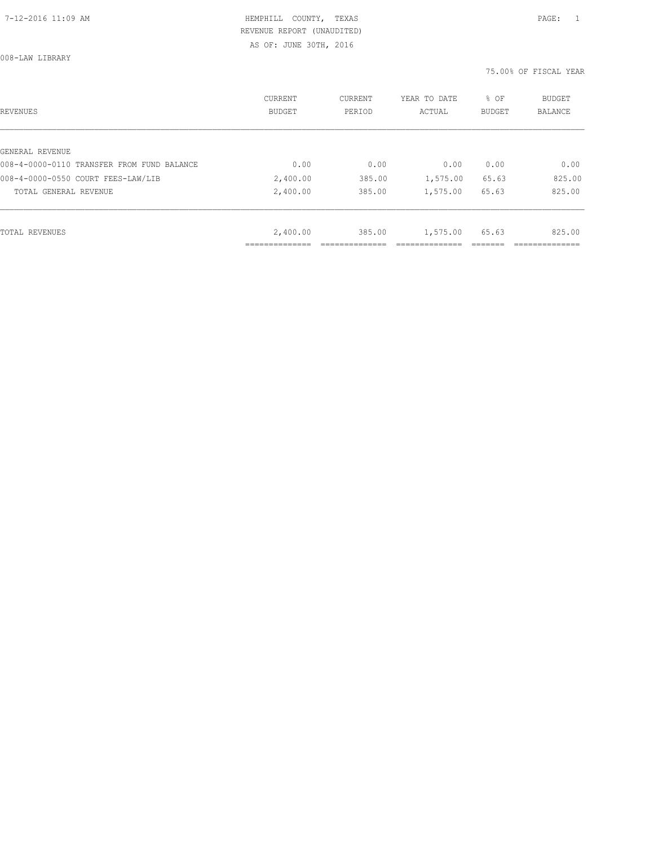AS OF: JUNE 30TH, 2016

008-LAW LIBRARY

| REVENUES                                   | <b>CURRENT</b><br><b>BUDGET</b> | CURRENT<br>PERIOD | YEAR TO DATE<br>ACTUAL | % OF<br>BUDGET | BUDGET<br><b>BALANCE</b> |
|--------------------------------------------|---------------------------------|-------------------|------------------------|----------------|--------------------------|
|                                            |                                 |                   |                        |                |                          |
| GENERAL REVENUE                            |                                 |                   |                        |                |                          |
| 008-4-0000-0110 TRANSFER FROM FUND BALANCE | 0.00                            | 0.00              | 0.00                   | 0.00           | 0.00                     |
| 008-4-0000-0550 COURT FEES-LAW/LIB         | 2,400.00                        | 385.00            | 1,575.00               | 65.63          | 825.00                   |
| TOTAL GENERAL REVENUE                      | 2,400.00                        | 385.00            | 1,575.00               | 65.63          | 825.00                   |
|                                            |                                 |                   |                        |                |                          |
| TOTAL REVENUES                             | 2,400.00                        | 385.00            | 1,575.00               | 65.63          | 825.00                   |
|                                            |                                 |                   |                        |                |                          |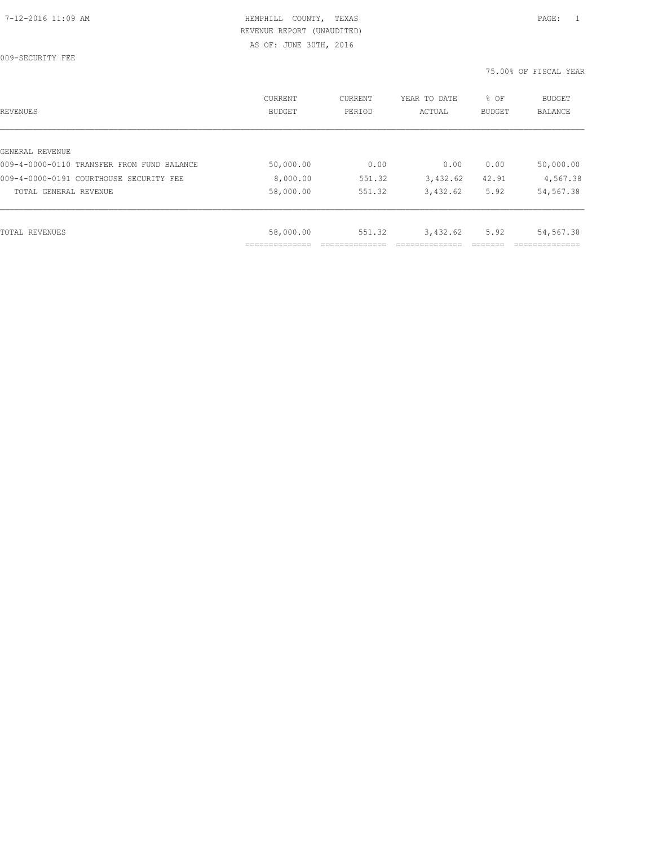009-SECURITY FEE

| REVENUES                                   | CURRENT<br><b>BUDGET</b> | CURRENT<br>PERIOD | YEAR TO DATE<br>ACTUAL | % OF<br>BUDGET | BUDGET<br><b>BALANCE</b> |
|--------------------------------------------|--------------------------|-------------------|------------------------|----------------|--------------------------|
|                                            |                          |                   |                        |                |                          |
| GENERAL REVENUE                            |                          |                   |                        |                |                          |
| 009-4-0000-0110 TRANSFER FROM FUND BALANCE | 50,000.00                | 0.00              | 0.00                   | 0.00           | 50,000.00                |
| 009-4-0000-0191 COURTHOUSE SECURITY FEE    | 8,000.00                 | 551.32            | 3,432.62               | 42.91          | 4,567.38                 |
| TOTAL GENERAL REVENUE                      | 58,000.00                | 551.32            | 3,432.62               | 5.92           | 54,567.38                |
|                                            |                          |                   |                        |                |                          |
| TOTAL REVENUES                             | 58,000.00                | 551.32            | 3,432.62               | 5.92           | 54,567.38                |
|                                            |                          |                   |                        |                |                          |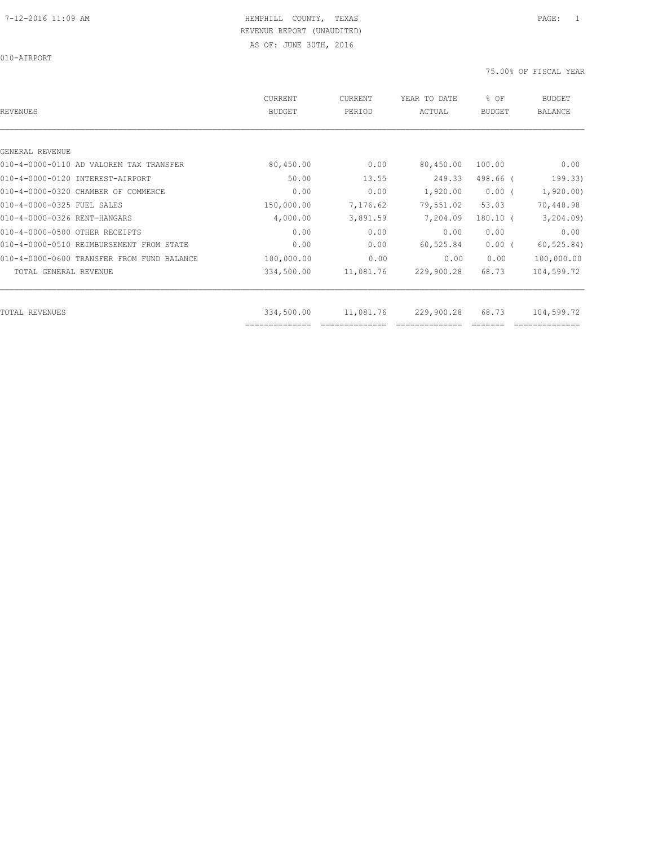010-AIRPORT

| REVENUES                                   | <b>CURRENT</b><br>BUDGET | CURRENT<br>PERIOD | YEAR TO DATE<br>ACTUAL | % OF<br><b>BUDGET</b> | <b>BUDGET</b><br>BALANCE |
|--------------------------------------------|--------------------------|-------------------|------------------------|-----------------------|--------------------------|
|                                            |                          |                   |                        |                       |                          |
| GENERAL REVENUE                            |                          |                   |                        |                       |                          |
| 010-4-0000-0110 AD VALOREM TAX TRANSFER    | 80,450.00                | 0.00              | 80,450.00              | 100.00                | 0.00                     |
| 010-4-0000-0120 INTEREST-AIRPORT           | 50.00                    | 13.55             | 249.33                 | 498.66 (              | 199.33)                  |
| 010-4-0000-0320 CHAMBER OF COMMERCE        | 0.00                     | 0.00              | 1,920.00               | $0.00$ (              | 1,920.00                 |
| 010-4-0000-0325 FUEL SALES                 | 150,000.00               | 7,176.62          | 79,551.02              | 53.03                 | 70,448.98                |
| 010-4-0000-0326 RENT-HANGARS               | 4,000.00                 | 3,891.59          | 7,204.09               | $180.10$ (            | 3, 204.09                |
| 010-4-0000-0500 OTHER RECEIPTS             | 0.00                     | 0.00              | 0.00                   | 0.00                  | 0.00                     |
| 010-4-0000-0510 REIMBURSEMENT FROM STATE   | 0.00                     | 0.00              | 60,525.84              | $0.00$ (              | 60, 525.84)              |
| 010-4-0000-0600 TRANSFER FROM FUND BALANCE | 100,000.00               | 0.00              | 0.00                   | 0.00                  | 100,000.00               |
| TOTAL GENERAL REVENUE                      | 334,500.00               | 11,081.76         | 229,900.28             | 68.73                 | 104,599.72               |
| TOTAL REVENUES                             | 334,500.00               | 11,081.76         | 229,900.28             | 68.73                 | 104,599.72               |
|                                            | ==============           |                   |                        |                       |                          |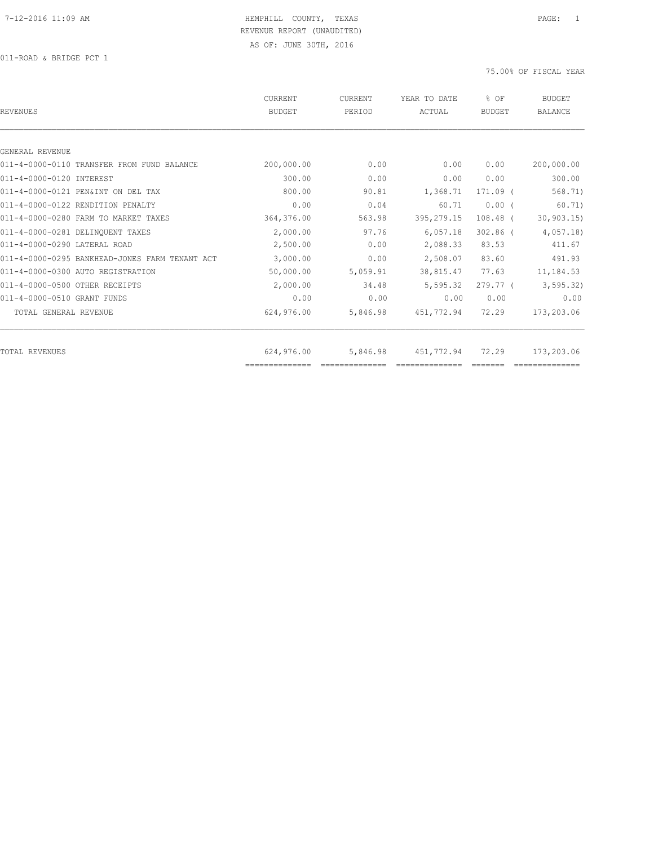| REVENUES                                       | CURRENT<br><b>BUDGET</b>     | <b>CURRENT</b><br>PERIOD | YEAR TO DATE<br>ACTUAL | % OF<br>BUDGET | <b>BUDGET</b><br><b>BALANCE</b> |
|------------------------------------------------|------------------------------|--------------------------|------------------------|----------------|---------------------------------|
|                                                |                              |                          |                        |                |                                 |
| GENERAL REVENUE                                |                              |                          |                        |                |                                 |
| 011-4-0000-0110 TRANSFER FROM FUND BALANCE     | 200,000.00                   | 0.00                     | 0.00                   | 0.00           | 200,000.00                      |
| 011-4-0000-0120 INTEREST                       | 300.00                       | 0.00                     | 0.00                   | 0.00           | 300.00                          |
| 011-4-0000-0121 PEN&INT ON DEL TAX             | 800.00                       | 90.81                    | 1,368.71               | $171.09$ (     | 568.71)                         |
| 011-4-0000-0122 RENDITION PENALTY              | 0.00                         | 0.04                     | 60.71                  | 0.00(          | 60.71)                          |
| 011-4-0000-0280 FARM TO MARKET TAXES           | 364,376.00                   | 563.98                   | 395, 279.15            | $108.48$ (     | 30, 903.15                      |
| 011-4-0000-0281 DELINOUENT TAXES               | 2,000.00                     | 97.76                    | 6,057.18               | $302.86$ (     | 4,057.18                        |
| 011-4-0000-0290 LATERAL ROAD                   | 2,500.00                     | 0.00                     | 2,088.33               | 83.53          | 411.67                          |
| 011-4-0000-0295 BANKHEAD-JONES FARM TENANT ACT | 3,000.00                     | 0.00                     | 2,508.07               | 83.60          | 491.93                          |
| 011-4-0000-0300 AUTO REGISTRATION              | 50,000.00                    | 5,059.91                 | 38,815.47              | 77.63          | 11,184.53                       |
| 011-4-0000-0500 OTHER RECEIPTS                 | 2,000.00                     | 34.48                    | 5,595.32               | $279.77-1$     | 3, 595.32)                      |
| 011-4-0000-0510 GRANT FUNDS                    | 0.00                         | 0.00                     | 0.00                   | 0.00           | 0.00                            |
| TOTAL GENERAL REVENUE                          | 624,976.00                   | 5,846.98                 | 451,772.94             | 72.29          | 173,203.06                      |
|                                                |                              |                          |                        |                |                                 |
| TOTAL REVENUES                                 | 624,976.00<br>============== | 5,846.98                 | 451,772.94             | 72.29          | 173,203.06                      |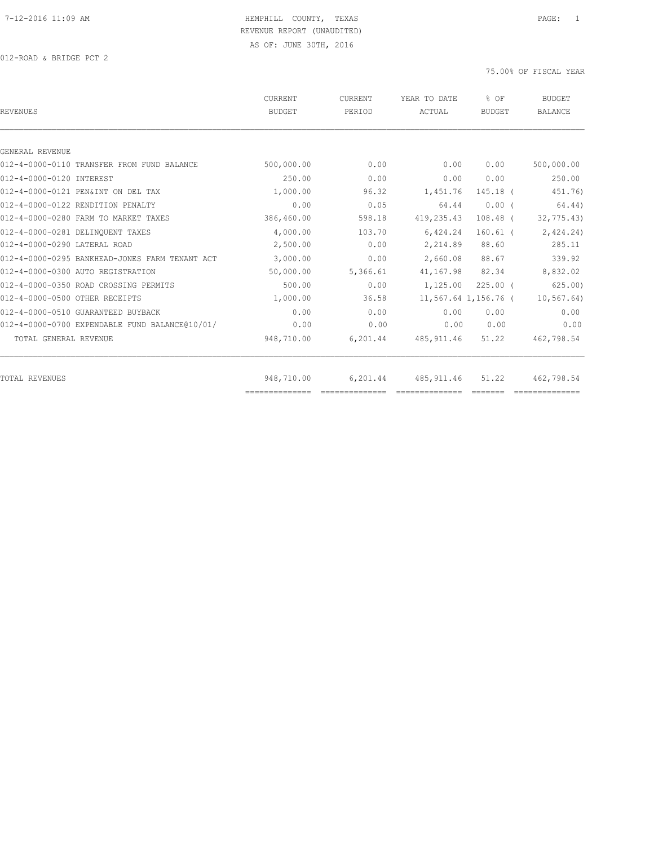| <b>REVENUES</b>                                | <b>CURRENT</b><br><b>BUDGET</b> | <b>CURRENT</b><br>PERIOD | YEAR TO DATE<br>ACTUAL | $8$ OF<br><b>BUDGET</b> | <b>BUDGET</b><br><b>BALANCE</b> |
|------------------------------------------------|---------------------------------|--------------------------|------------------------|-------------------------|---------------------------------|
|                                                |                                 |                          |                        |                         |                                 |
| GENERAL REVENUE                                |                                 |                          |                        |                         |                                 |
| 012-4-0000-0110 TRANSFER FROM FUND BALANCE     | 500,000.00                      | 0.00                     | 0.00                   | 0.00                    | 500,000.00                      |
| 012-4-0000-0120 INTEREST                       | 250.00                          | 0.00                     | 0.00                   | 0.00                    | 250.00                          |
| 012-4-0000-0121 PEN&INT ON DEL TAX             | 1,000.00                        | 96.32                    | 1,451.76               | 145.18 (                | 451.76)                         |
| 012-4-0000-0122 RENDITION PENALTY              | 0.00                            | 0.05                     | 64.44                  | 0.00(                   | 64.44)                          |
| 012-4-0000-0280 FARM TO MARKET TAXES           | 386,460.00                      | 598.18                   | 419,235.43             | $108.48$ (              | 32, 775.43                      |
| 012-4-0000-0281 DELINQUENT TAXES               | 4,000.00                        | 103.70                   | 6,424.24               | $160.61$ (              | 2,424.24)                       |
| 012-4-0000-0290 LATERAL ROAD                   | 2,500.00                        | 0.00                     | 2,214.89               | 88.60                   | 285.11                          |
| 012-4-0000-0295 BANKHEAD-JONES FARM TENANT ACT | 3,000.00                        | 0.00                     | 2,660.08               | 88.67                   | 339.92                          |
| 012-4-0000-0300 AUTO REGISTRATION              | 50,000.00                       | 5,366.61                 | 41,167.98              | 82.34                   | 8,832.02                        |
| 012-4-0000-0350 ROAD CROSSING PERMITS          | 500.00                          | 0.00                     | 1,125.00               | $225.00$ $($            | 625.00                          |
| 012-4-0000-0500 OTHER RECEIPTS                 | 1,000.00                        | 36.58                    |                        | 11,567.64 1,156.76 (    | 10, 567.64)                     |
| 012-4-0000-0510 GUARANTEED BUYBACK             | 0.00                            | 0.00                     | 0.00                   | 0.00                    | 0.00                            |
| 012-4-0000-0700 EXPENDABLE FUND BALANCE@10/01/ | 0.00                            | 0.00                     | 0.00                   | 0.00                    | 0.00                            |
| TOTAL GENERAL REVENUE                          | 948,710.00                      | 6,201.44                 | 485,911.46             | 51.22                   | 462,798.54                      |
| <b>TOTAL REVENUES</b>                          | 948,710.00                      | 6,201.44                 | 485, 911.46            | 51.22                   | 462,798.54                      |
|                                                | ==============                  |                          |                        |                         |                                 |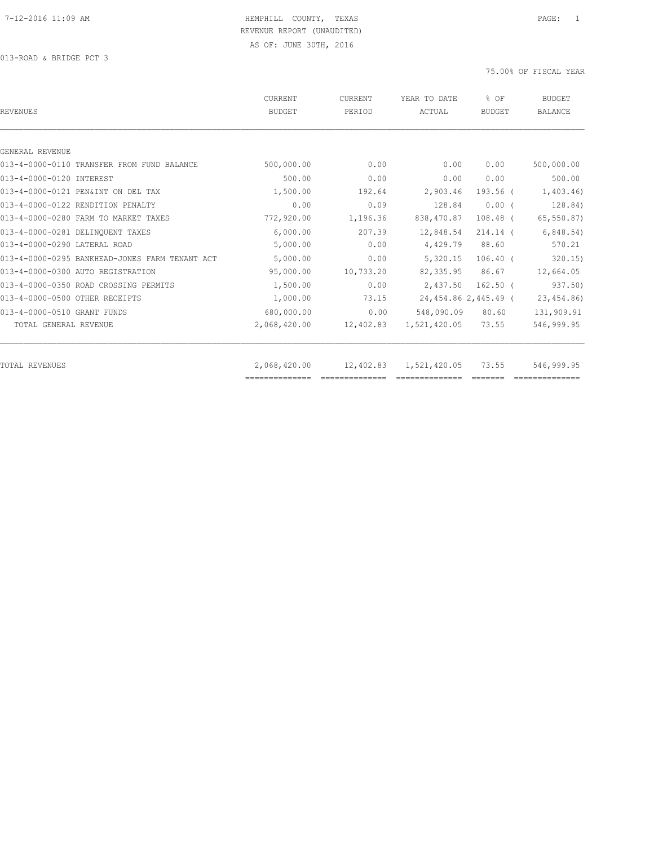| <b>REVENUES</b>                                | <b>CURRENT</b><br><b>BUDGET</b> | <b>CURRENT</b><br>PERIOD | YEAR TO DATE<br>ACTUAL | % OF<br><b>BUDGET</b> | <b>BUDGET</b><br><b>BALANCE</b> |
|------------------------------------------------|---------------------------------|--------------------------|------------------------|-----------------------|---------------------------------|
|                                                |                                 |                          |                        |                       |                                 |
| GENERAL REVENUE                                |                                 |                          |                        |                       |                                 |
| 013-4-0000-0110 TRANSFER FROM FUND BALANCE     | 500,000.00                      | 0.00                     | 0.00                   | 0.00                  | 500,000.00                      |
| 013-4-0000-0120 INTEREST                       | 500.00                          | 0.00                     | 0.00                   | 0.00                  | 500.00                          |
| 013-4-0000-0121 PEN&INT ON DEL TAX             | 1,500.00                        | 192.64                   | 2,903.46               | 193.56 (              | 1,403.46                        |
| 013-4-0000-0122 RENDITION PENALTY              | 0.00                            | 0.09                     | 128.84                 | $0.00$ (              | 128.84)                         |
| 013-4-0000-0280 FARM TO MARKET TAXES           | 772,920.00                      | 1,196.36                 | 838,470.87             | $108.48$ (            | 65, 550.87)                     |
| 013-4-0000-0281 DELINQUENT TAXES               | 6,000.00                        | 207.39                   | 12,848.54              | $214.14$ (            | 6,848.54)                       |
| 013-4-0000-0290 LATERAL ROAD                   | 5,000.00                        | 0.00                     | 4,429.79               | 88.60                 | 570.21                          |
| 013-4-0000-0295 BANKHEAD-JONES FARM TENANT ACT | 5,000.00                        | 0.00                     | 5,320.15               | $106.40$ (            | 320.15                          |
| 013-4-0000-0300 AUTO REGISTRATION              | 95,000.00                       | 10,733.20                | 82, 335.95             | 86.67                 | 12,664.05                       |
| 013-4-0000-0350 ROAD CROSSING PERMITS          | 1,500.00                        | 0.00                     | 2,437.50               | $162.50$ (            | 937.50)                         |
| 013-4-0000-0500 OTHER RECEIPTS                 | 1,000.00                        | 73.15                    |                        | 24,454.86 2,445.49 (  | 23, 454.86)                     |
| 013-4-0000-0510 GRANT FUNDS                    | 680,000.00                      | 0.00                     | 548,090.09             | 80.60                 | 131,909.91                      |
| TOTAL GENERAL REVENUE                          | 2,068,420.00                    | 12,402.83                | 1,521,420.05           | 73.55                 | 546,999.95                      |
| <b>TOTAL REVENUES</b>                          | 2,068,420.00                    |                          | 12,402.83 1,521,420.05 | 73.55                 | 546,999.95                      |
|                                                | ==============                  |                          |                        |                       |                                 |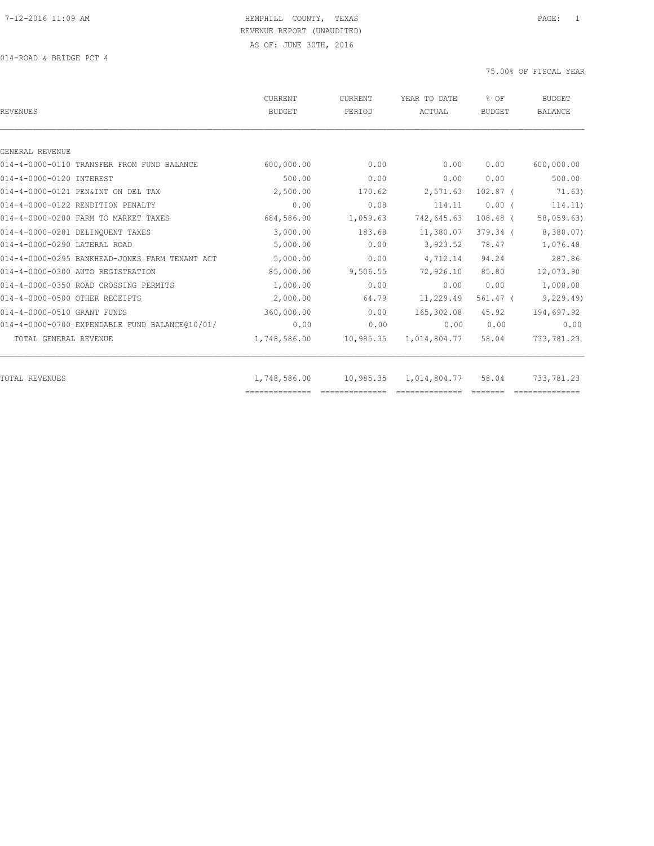014-ROAD & BRIDGE PCT 4

| REVENUES                                       | CURRENT<br>BUDGET | CURRENT<br>PERIOD | YEAR TO DATE<br>ACTUAL | % OF<br><b>BUDGET</b> | <b>BUDGET</b><br><b>BALANCE</b> |
|------------------------------------------------|-------------------|-------------------|------------------------|-----------------------|---------------------------------|
|                                                |                   |                   |                        |                       |                                 |
| GENERAL REVENUE                                |                   |                   |                        |                       |                                 |
| 014-4-0000-0110 TRANSFER FROM FUND BALANCE     | 600,000.00        | 0.00              | 0.00                   | 0.00                  | 600,000.00                      |
| 014-4-0000-0120 INTEREST                       | 500.00            | 0.00              | 0.00                   | 0.00                  | 500.00                          |
| 014-4-0000-0121 PEN&INT ON DEL TAX             | 2,500.00          | 170.62            | 2,571.63               | $102.87$ (            | 71.63)                          |
| 014-4-0000-0122 RENDITION PENALTY              | 0.00              | 0.08              | 114.11                 | $0.00$ (              | 114.11)                         |
| 014-4-0000-0280 FARM TO MARKET TAXES           | 684,586.00        | 1,059.63          | 742,645.63             | $108.48$ (            | 58,059.63)                      |
| 014-4-0000-0281 DELINQUENT TAXES               | 3,000.00          | 183.68            | 11,380.07              | $379.34$ (            | 8,380.07)                       |
| 014-4-0000-0290 LATERAL ROAD                   | 5,000.00          | 0.00              | 3,923.52               | 78.47                 | 1,076.48                        |
| 014-4-0000-0295 BANKHEAD-JONES FARM TENANT ACT | 5,000.00          | 0.00              | 4,712.14               | 94.24                 | 287.86                          |
| 014-4-0000-0300 AUTO REGISTRATION              | 85,000.00         | 9,506.55          | 72,926.10              | 85.80                 | 12,073.90                       |
| 014-4-0000-0350 ROAD CROSSING PERMITS          | 1,000.00          | 0.00              | 0.00                   | 0.00                  | 1,000.00                        |
| 014-4-0000-0500 OTHER RECEIPTS                 | 2,000.00          | 64.79             | 11,229.49              | $561.47$ (            | 9, 229.49)                      |
| 014-4-0000-0510 GRANT FUNDS                    | 360,000.00        | 0.00              | 165,302.08             | 45.92                 | 194,697.92                      |
| 014-4-0000-0700 EXPENDABLE FUND BALANCE@10/01/ | 0.00              | 0.00              | 0.00                   | 0.00                  | 0.00                            |
| TOTAL GENERAL REVENUE                          | 1,748,586.00      | 10,985.35         | 1,014,804.77           | 58.04                 | 733,781.23                      |
| TOTAL REVENUES                                 | 1,748,586.00      | 10,985.35         | 1,014,804.77           | 58.04                 | 733,781.23                      |
|                                                |                   |                   |                        |                       |                                 |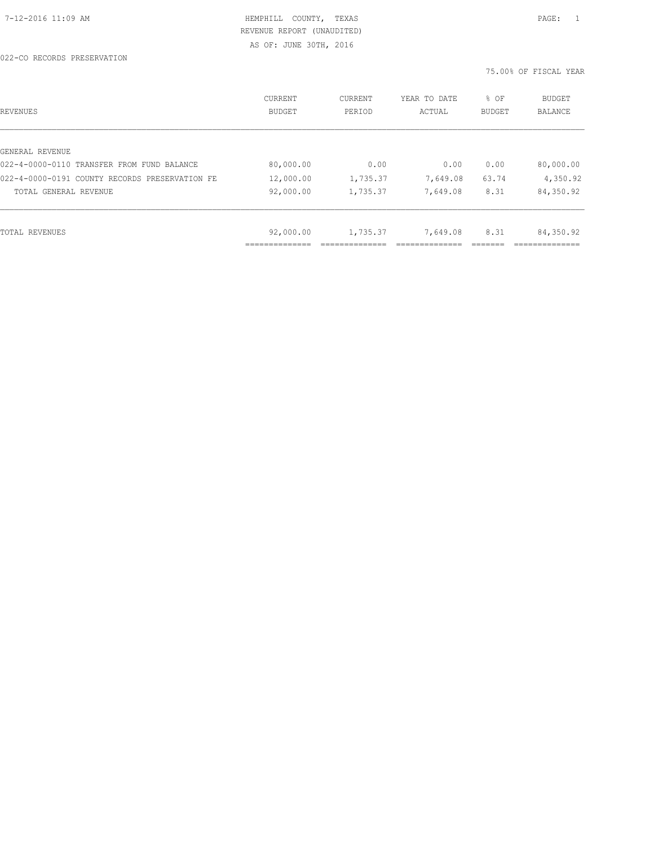| REVENUES                                       | <b>CURRENT</b><br>BUDGET | CURRENT<br>PERIOD | YEAR TO DATE<br>ACTUAL | % OF<br><b>BUDGET</b> | BUDGET<br><b>BALANCE</b> |
|------------------------------------------------|--------------------------|-------------------|------------------------|-----------------------|--------------------------|
| GENERAL REVENUE                                |                          |                   |                        |                       |                          |
| 022-4-0000-0110 TRANSFER FROM FUND BALANCE     | 80,000.00                | 0.00              | 0.00                   | 0.00                  | 80,000.00                |
| 022-4-0000-0191 COUNTY RECORDS PRESERVATION FE | 12,000.00                | 1,735.37          | 7,649.08               | 63.74                 | 4,350.92                 |
| TOTAL GENERAL REVENUE                          | 92,000.00                | 1,735.37          | 7,649.08               | 8.31                  | 84,350.92                |
|                                                |                          |                   |                        |                       |                          |
| TOTAL REVENUES                                 | 92,000.00                | 1,735.37          | 7,649.08               | 8.31                  | 84,350.92                |
|                                                | .                        |                   |                        |                       |                          |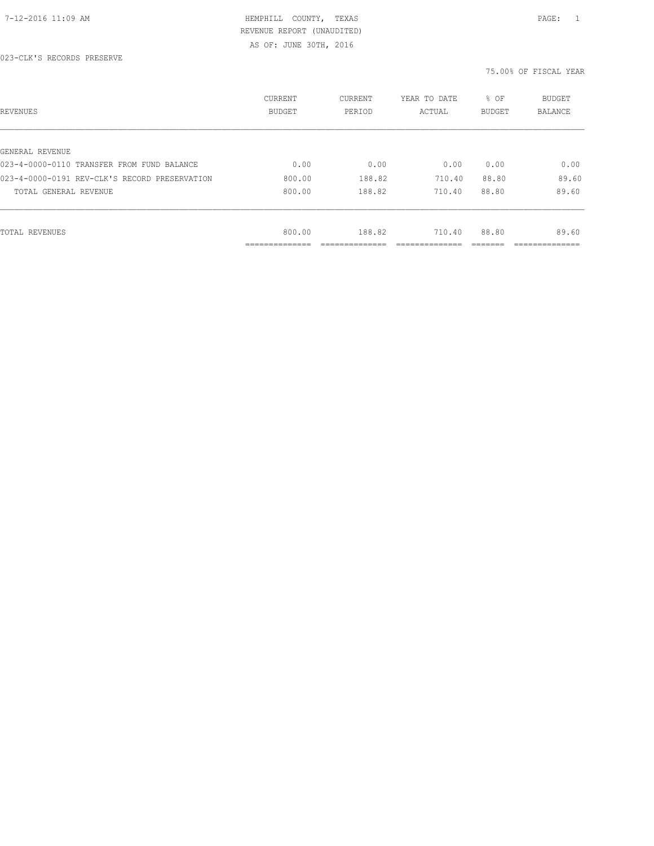| REVENUES                                      | CURRENT<br><b>BUDGET</b>   | CURRENT<br>PERIOD | YEAR TO DATE<br>ACTUAL | % OF<br>BUDGET | BUDGET<br><b>BALANCE</b> |
|-----------------------------------------------|----------------------------|-------------------|------------------------|----------------|--------------------------|
|                                               |                            |                   |                        |                |                          |
| GENERAL REVENUE                               |                            |                   |                        |                |                          |
| 023-4-0000-0110 TRANSFER FROM FUND BALANCE    | 0.00                       | 0.00              | 0.00                   | 0.00           | 0.00                     |
| 023-4-0000-0191 REV-CLK'S RECORD PRESERVATION | 800.00                     | 188.82            | 710.40                 | 88.80          | 89.60                    |
| TOTAL GENERAL REVENUE                         | 800.00                     | 188.82            | 710.40                 | 88.80          | 89.60                    |
|                                               |                            |                   |                        |                |                          |
| TOTAL REVENUES                                | 800.00                     | 188.82            | 710.40                 | 88.80          | 89.60                    |
|                                               | -----------<br>----------- |                   |                        |                | __________               |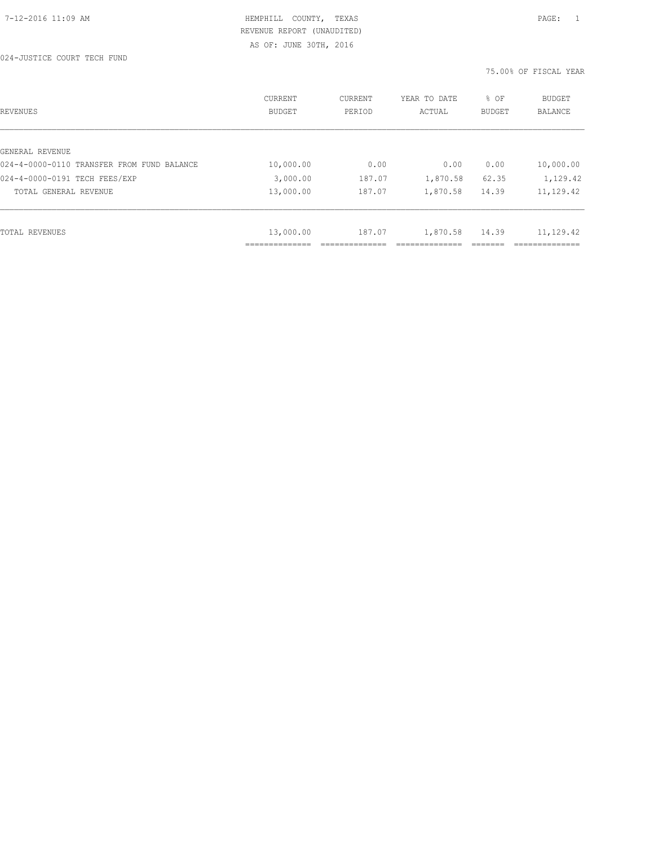| REVENUES                                   | CURRENT<br><b>BUDGET</b> | CURRENT<br>PERIOD | YEAR TO DATE<br>ACTUAL | % OF<br><b>BUDGET</b> | <b>BUDGET</b><br>BALANCE  |
|--------------------------------------------|--------------------------|-------------------|------------------------|-----------------------|---------------------------|
| GENERAL REVENUE                            |                          |                   |                        |                       |                           |
| 024-4-0000-0110 TRANSFER FROM FUND BALANCE | 10,000.00                | 0.00              | 0.00                   | 0.00                  | 10,000.00                 |
| 024-4-0000-0191 TECH FEES/EXP              | 3,000.00                 | 187.07            | 1,870.58               | 62.35                 | 1,129.42                  |
| TOTAL GENERAL REVENUE                      | 13,000.00                | 187.07            | 1,870.58               | 14.39                 | 11,129.42                 |
|                                            |                          |                   |                        |                       |                           |
| TOTAL REVENUES                             | 13,000.00                | 187.07            | 1,870.58               | 14.39                 | 11,129.42                 |
|                                            | __________               |                   |                        |                       | __________<br>___________ |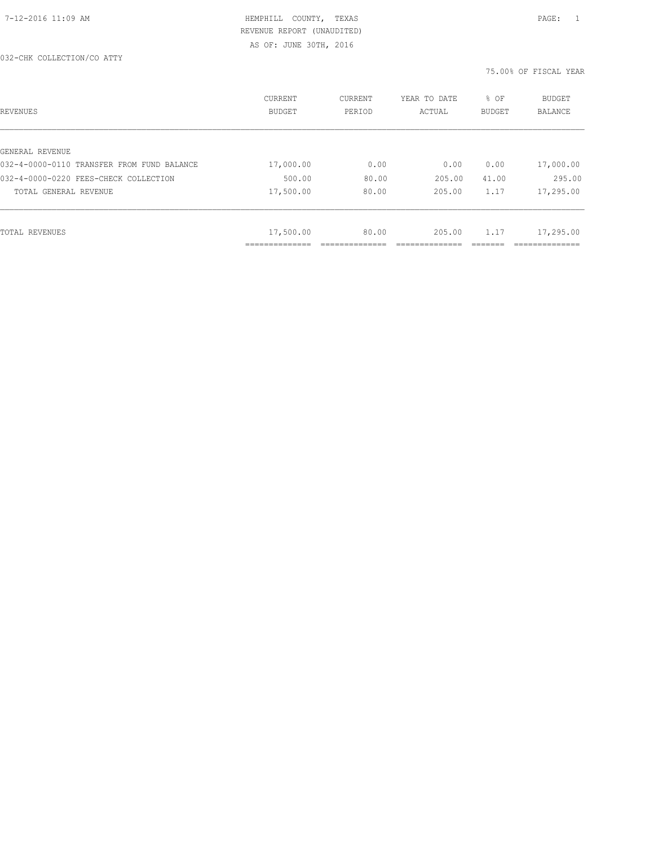| REVENUES                                   | CURRENT<br><b>BUDGET</b> | CURRENT<br>PERIOD | YEAR TO DATE<br>ACTUAL | % OF<br><b>BUDGET</b> | BUDGET<br>BALANCE |
|--------------------------------------------|--------------------------|-------------------|------------------------|-----------------------|-------------------|
|                                            |                          |                   |                        |                       |                   |
| GENERAL REVENUE                            |                          |                   |                        |                       |                   |
| 032-4-0000-0110 TRANSFER FROM FUND BALANCE | 17,000.00                | 0.00              | 0.00                   | 0.00                  | 17,000.00         |
| 032-4-0000-0220 FEES-CHECK COLLECTION      | 500.00                   | 80.00             | 205.00                 | 41.00                 | 295.00            |
| TOTAL GENERAL REVENUE                      | 17,500.00                | 80.00             | 205.00                 | 1.17                  | 17,295.00         |
|                                            |                          |                   |                        |                       |                   |
| TOTAL REVENUES                             | 17,500.00                | 80.00             | 205.00                 | 1.17                  | 17,295.00         |
|                                            | ___________              |                   |                        |                       |                   |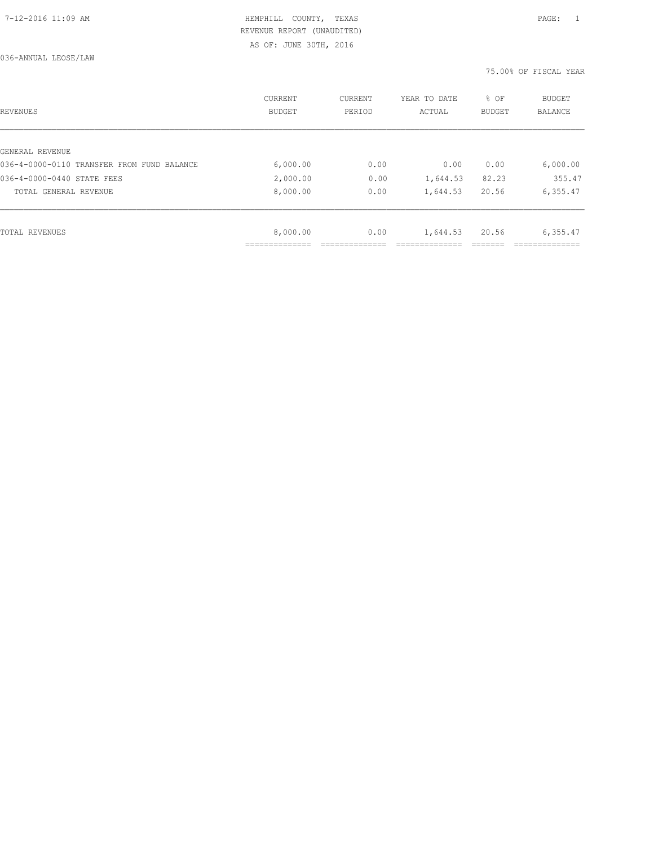036-ANNUAL LEOSE/LAW

| REVENUES                                   | CURRENT<br><b>BUDGET</b> | CURRENT<br>PERIOD | YEAR TO DATE<br>ACTUAL | % OF<br>BUDGET | BUDGET<br>BALANCE |
|--------------------------------------------|--------------------------|-------------------|------------------------|----------------|-------------------|
|                                            |                          |                   |                        |                |                   |
| GENERAL REVENUE                            |                          |                   |                        |                |                   |
| 036-4-0000-0110 TRANSFER FROM FUND BALANCE | 6,000.00                 | 0.00              | 0.00                   | 0.00           | 6,000.00          |
| 036-4-0000-0440 STATE FEES                 | 2,000.00                 | 0.00              | 1,644.53               | 82.23          | 355.47            |
| TOTAL GENERAL REVENUE                      | 8,000.00                 | 0.00              | 1,644.53               | 20.56          | 6, 355.47         |
|                                            |                          |                   |                        |                |                   |
| TOTAL REVENUES                             | 8,000.00                 | 0.00              | 1,644.53               | 20.56          | 6,355.47          |
|                                            |                          |                   |                        |                |                   |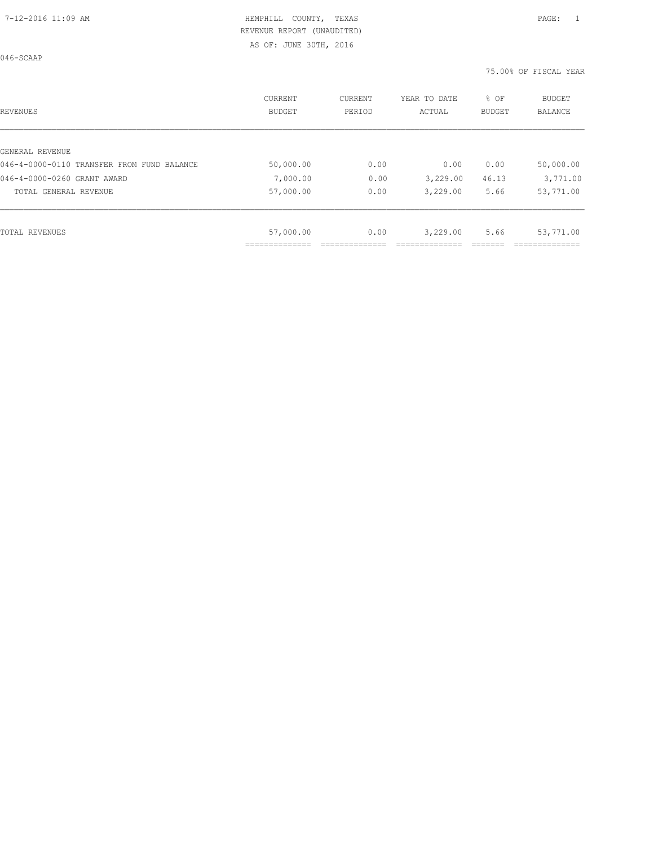| <b>REVENUES</b>                            | CURRENT<br><b>BUDGET</b> | CURRENT<br>PERIOD | YEAR TO DATE<br>ACTUAL | % OF<br><b>BUDGET</b> | <b>BUDGET</b><br><b>BALANCE</b> |
|--------------------------------------------|--------------------------|-------------------|------------------------|-----------------------|---------------------------------|
|                                            |                          |                   |                        |                       |                                 |
| GENERAL REVENUE                            |                          |                   |                        |                       |                                 |
| 046-4-0000-0110 TRANSFER FROM FUND BALANCE | 50,000.00                | 0.00              | 0.00                   | 0.00                  | 50,000.00                       |
| 046-4-0000-0260 GRANT AWARD                | 7,000.00                 | 0.00              | 3,229.00               | 46.13                 | 3,771.00                        |
| TOTAL GENERAL REVENUE                      | 57,000.00                | 0.00              | 3,229.00               | 5.66                  | 53,771.00                       |
|                                            |                          |                   |                        |                       |                                 |
| TOTAL REVENUES                             | 57,000.00                | 0.00              | 3,229.00               | 5.66                  | 53,771.00                       |
|                                            |                          |                   |                        |                       |                                 |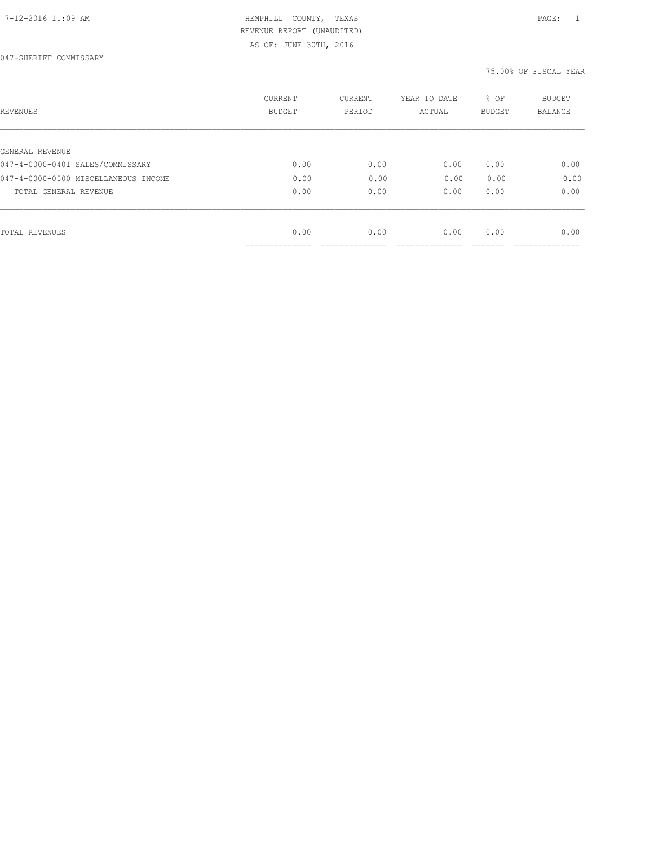AS OF: JUNE 30TH, 2016

| REVENUES                             | CURRENT<br><b>BUDGET</b> | CURRENT<br>PERIOD | YEAR TO DATE<br>ACTUAL | % OF<br><b>BUDGET</b> | BUDGET<br><b>BALANCE</b> |
|--------------------------------------|--------------------------|-------------------|------------------------|-----------------------|--------------------------|
|                                      |                          |                   |                        |                       |                          |
| GENERAL REVENUE                      |                          |                   |                        |                       |                          |
| 047-4-0000-0401 SALES/COMMISSARY     | 0.00                     | 0.00              | 0.00                   | 0.00                  | 0.00                     |
| 047-4-0000-0500 MISCELLANEOUS INCOME | 0.00                     | 0.00              | 0.00                   | 0.00                  | 0.00                     |
| TOTAL GENERAL REVENUE                | 0.00                     | 0.00              | 0.00                   | 0.00                  | 0.00                     |
|                                      |                          |                   |                        |                       |                          |
| TOTAL REVENUES                       | 0.00                     | 0.00              | 0.00                   | 0.00                  | 0.00                     |
|                                      |                          |                   |                        |                       |                          |